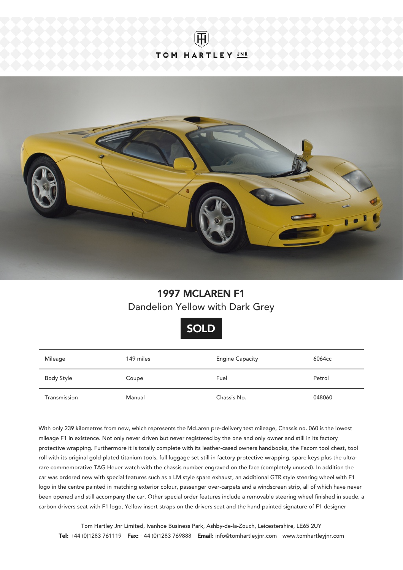



## 1997 MCLAREN F1 Dandelion Yellow with Dark Grey



| Mileage      | 149 miles | <b>Engine Capacity</b> | 6064cc |
|--------------|-----------|------------------------|--------|
| Body Style   | Coupe     | Fuel                   | Petrol |
| Transmission | Manual    | Chassis No.            | 048060 |

With only 239 kilometres from new, which represents the McLaren pre-delivery test mileage, Chassis no. 060 is the lowest mileage F1 in existence. Not only never driven but never registered by the one and only owner and still in its factory protective wrapping. Furthermore it is totally complete with its leather-cased owners handbooks, the Facom tool chest, tool roll with its original gold-plated titanium tools, full luggage set still in factory protective wrapping, spare keys plus the ultrarare commemorative TAG Heuer watch with the chassis number engraved on the face (completely unused). In addition the car was ordered new with special features such as a LM style spare exhaust, an additional GTR style steering wheel with F1 logo in the centre painted in matching exterior colour, passenger over-carpets and a windscreen strip, all of which have never been opened and still accompany the car. Other special order features include a removable steering wheel finished in suede, a carbon drivers seat with F1 logo, Yellow insert straps on the drivers seat and the hand-painted signature of F1 designer

Tom Hartley Jnr Limited, Ivanhoe Business Park, Ashby-de-la-Zouch, Leicestershire, LE65 2UY Tel: +44 (0)1283 761119 Fax: +44 (0)1283 769888 Email: info@tomhartleyjnr.com www.tomhartleyjnr.com